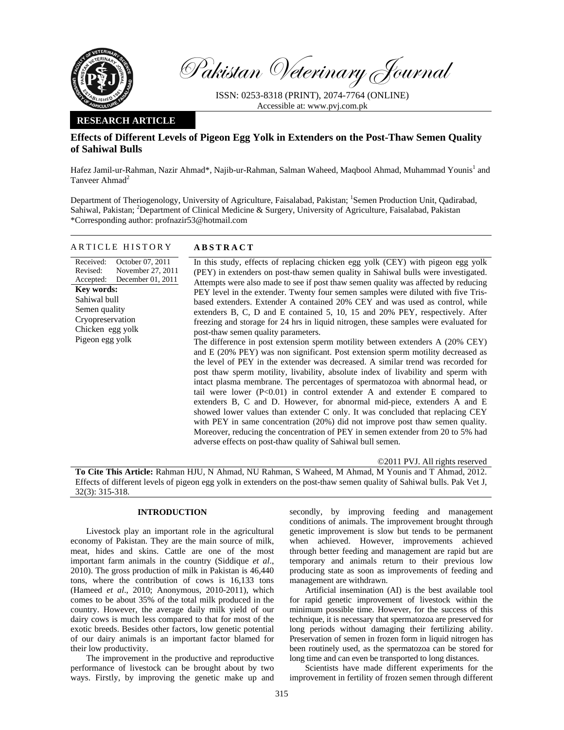

Pakistan Veterinary Journal

ISSN: 0253-8318 (PRINT), 2074-7764 (ONLINE) Accessible at: www.pvj.com.pk

### **RESEARCH ARTICLE**

ARTICLE HISTORY **ABSTRACT** 

# **Effects of Different Levels of Pigeon Egg Yolk in Extenders on the Post-Thaw Semen Quality of Sahiwal Bulls**

Hafez Jamil-ur-Rahman, Nazir Ahmad\*, Najib-ur-Rahman, Salman Waheed, Maqbool Ahmad, Muhammad Younis<sup>1</sup> and Tanveer Ahmad<sup>2</sup>

Department of Theriogenology, University of Agriculture, Faisalabad, Pakistan; <sup>1</sup>Semen Production Unit, Qadirabad, Sahiwal, Pakistan; <sup>2</sup>Department of Clinical Medicine & Surgery, University of Agriculture, Faisalabad, Pakistan \*Corresponding author: profnazir53@hotmail.com

| October 07, 2011<br>Received:<br>November 27, 2011<br>Revised:<br>December 01, 2011<br>Accepted:<br>Key words:<br>Sahiwal bull<br>Semen quality<br>Cryopreservation<br>Chicken egg yolk<br>Pigeon egg yolk | In this study, effects of replacing chicken egg yolk (CEY) with pigeon egg yolk<br>(PEY) in extenders on post-thaw semen quality in Sahiwal bulls were investigated.<br>Attempts were also made to see if post thaw semen quality was affected by reducing<br>PEY level in the extender. Twenty four semen samples were diluted with five Tris-<br>based extenders. Extender A contained 20% CEY and was used as control, while<br>extenders B, C, D and E contained 5, 10, 15 and 20% PEY, respectively. After<br>freezing and storage for 24 hrs in liquid nitrogen, these samples were evaluated for<br>post-thaw semen quality parameters.<br>The difference in post extension sperm motility between extenders A (20% CEY)<br>and E (20% PEY) was non significant. Post extension sperm motility decreased as<br>the level of PEY in the extender was decreased. A similar trend was recorded for<br>post thaw sperm motility, livability, absolute index of livability and sperm with<br>intact plasma membrane. The percentages of spermatozoa with abnormal head, or<br>tail were lower $(P<0.01)$ in control extender A and extender E compared to<br>extenders B, C and D. However, for abnormal mid-piece, extenders A and E<br>showed lower values than extender C only. It was concluded that replacing CEY<br>with PEY in same concentration $(20%)$ did not improve post thaw semen quality.<br>Moreover, reducing the concentration of PEY in semen extender from 20 to 5% had<br>adverse effects on post-thaw quality of Sahiwal bull semen. |
|------------------------------------------------------------------------------------------------------------------------------------------------------------------------------------------------------------|---------------------------------------------------------------------------------------------------------------------------------------------------------------------------------------------------------------------------------------------------------------------------------------------------------------------------------------------------------------------------------------------------------------------------------------------------------------------------------------------------------------------------------------------------------------------------------------------------------------------------------------------------------------------------------------------------------------------------------------------------------------------------------------------------------------------------------------------------------------------------------------------------------------------------------------------------------------------------------------------------------------------------------------------------------------------------------------------------------------------------------------------------------------------------------------------------------------------------------------------------------------------------------------------------------------------------------------------------------------------------------------------------------------------------------------------------------------------------------------------------------------------------------------------------------------|
|                                                                                                                                                                                                            |                                                                                                                                                                                                                                                                                                                                                                                                                                                                                                                                                                                                                                                                                                                                                                                                                                                                                                                                                                                                                                                                                                                                                                                                                                                                                                                                                                                                                                                                                                                                                               |

©2011 PVJ. All rights reserved

**To Cite This Article:** Rahman HJU, N Ahmad, NU Rahman, S Waheed, M Ahmad, M Younis and T Ahmad, 2012. Effects of different levels of pigeon egg yolk in extenders on the post-thaw semen quality of Sahiwal bulls. Pak Vet J, 32(3): 315-318.

## **INTRODUCTION**

Livestock play an important role in the agricultural economy of Pakistan. They are the main source of milk, meat, hides and skins. Cattle are one of the most important farm animals in the country (Siddique *et al*., 2010). The gross production of milk in Pakistan is 46,440 tons, where the contribution of cows is 16,133 tons (Hameed *et al*., 2010; Anonymous, 2010-2011), which comes to be about 35% of the total milk produced in the country. However, the average daily milk yield of our dairy cows is much less compared to that for most of the exotic breeds. Besides other factors, low genetic potential of our dairy animals is an important factor blamed for their low productivity.

The improvement in the productive and reproductive performance of livestock can be brought about by two ways. Firstly, by improving the genetic make up and

secondly, by improving feeding and management conditions of animals. The improvement brought through genetic improvement is slow but tends to be permanent when achieved. However, improvements achieved through better feeding and management are rapid but are temporary and animals return to their previous low producing state as soon as improvements of feeding and management are withdrawn.

Artificial insemination (AI) is the best available tool for rapid genetic improvement of livestock within the minimum possible time. However, for the success of this technique, it is necessary that spermatozoa are preserved for long periods without damaging their fertilizing ability. Preservation of semen in frozen form in liquid nitrogen has been routinely used, as the spermatozoa can be stored for long time and can even be transported to long distances.

Scientists have made different experiments for the improvement in fertility of frozen semen through different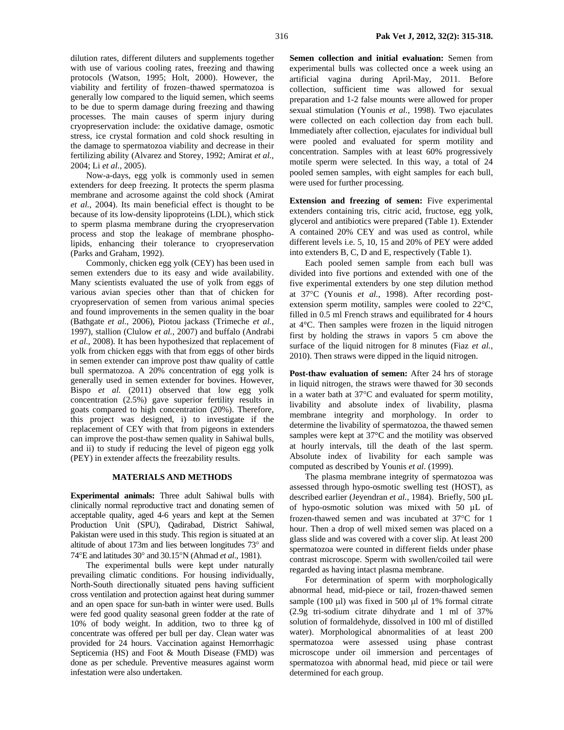dilution rates, different diluters and supplements together with use of various cooling rates, freezing and thawing protocols (Watson, 1995; Holt, 2000). However, the viability and fertility of frozen–thawed spermatozoa is generally low compared to the liquid semen, which seems to be due to sperm damage during freezing and thawing processes. The main causes of sperm injury during cryopreservation include: the oxidative damage, osmotic stress, ice crystal formation and cold shock resulting in the damage to spermatozoa viability and decrease in their fertilizing ability (Alvarez and Storey, 1992; Amirat *et al.*, 2004; Li *et al.*, 2005).

Now-a-days, egg yolk is commonly used in semen extenders for deep freezing. It protects the sperm plasma membrane and acrosome against the cold shock (Amirat *et al.*, 2004). Its main beneficial effect is thought to be because of its low-density lipoproteins (LDL), which stick to sperm plasma membrane during the cryopreservation process and stop the leakage of membrane phospholipids, enhancing their tolerance to cryopreservation (Parks and Graham, 1992).

Commonly, chicken egg yolk (CEY) has been used in semen extenders due to its easy and wide availability. Many scientists evaluated the use of yolk from eggs of various avian species other than that of chicken for cryopreservation of semen from various animal species and found improvements in the semen quality in the boar (Bathgate *et al.*, 2006), Piotou jackass (Trimeche *et al.*, 1997), stallion (Clulow *et al.*, 2007) and buffalo (Andrabi *et al.*, 2008). It has been hypothesized that replacement of yolk from chicken eggs with that from eggs of other birds in semen extender can improve post thaw quality of cattle bull spermatozoa. A 20% concentration of egg yolk is generally used in semen extender for bovines. However, Bispo *et al.* (2011) observed that low egg yolk concentration (2.5%) gave superior fertility results in goats compared to high concentration (20%). Therefore, this project was designed, i) to investigate if the replacement of CEY with that from pigeons in extenders can improve the post-thaw semen quality in Sahiwal bulls, and ii) to study if reducing the level of pigeon egg yolk (PEY) in extender affects the freezability results.

#### **MATERIALS AND METHODS**

**Experimental animals:** Three adult Sahiwal bulls with clinically normal reproductive tract and donating semen of acceptable quality, aged 4-6 years and kept at the Semen Production Unit (SPU), Qadirabad, District Sahiwal, Pakistan were used in this study. This region is situated at an altitude of about 173m and lies between longitudes 73° and 74°E and latitudes 30° and 30.15°N (Ahmad *et al*., 1981).

The experimental bulls were kept under naturally prevailing climatic conditions. For housing individually, North-South directionally situated pens having sufficient cross ventilation and protection against heat during summer and an open space for sun-bath in winter were used. Bulls were fed good quality seasonal green fodder at the rate of 10% of body weight. In addition, two to three kg of concentrate was offered per bull per day. Clean water was provided for 24 hours. Vaccination against Hemorrhagic Septicemia (HS) and Foot & Mouth Disease (FMD) was done as per schedule. Preventive measures against worm infestation were also undertaken.

**Semen collection and initial evaluation:** Semen from experimental bulls was collected once a week using an artificial vagina during April-May, 2011. Before collection, sufficient time was allowed for sexual preparation and 1-2 false mounts were allowed for proper sexual stimulation (Younis *et al.*, 1998). Two ejaculates were collected on each collection day from each bull. Immediately after collection, ejaculates for individual bull were pooled and evaluated for sperm motility and concentration. Samples with at least 60% progressively motile sperm were selected. In this way, a total of 24 pooled semen samples, with eight samples for each bull, were used for further processing.

**Extension and freezing of semen:** Five experimental extenders containing tris, citric acid, fructose, egg yolk, glycerol and antibiotics were prepared (Table 1). Extender A contained 20% CEY and was used as control, while different levels i.e. 5, 10, 15 and 20% of PEY were added into extenders B, C, D and E, respectively (Table 1).

Each pooled semen sample from each bull was divided into five portions and extended with one of the five experimental extenders by one step dilution method at 37°C (Younis *et al.*, 1998). After recording postextension sperm motility, samples were cooled to 22°C, filled in 0.5 ml French straws and equilibrated for 4 hours at 4°C. Then samples were frozen in the liquid nitrogen first by holding the straws in vapors 5 cm above the surface of the liquid nitrogen for 8 minutes (Fiaz *et al.*, 2010). Then straws were dipped in the liquid nitrogen.

Post-thaw evaluation of semen: After 24 hrs of storage in liquid nitrogen, the straws were thawed for 30 seconds in a water bath at 37°C and evaluated for sperm motility, livability and absolute index of livability, plasma membrane integrity and morphology. In order to determine the livability of spermatozoa, the thawed semen samples were kept at 37°C and the motility was observed at hourly intervals, till the death of the last sperm. Absolute index of livability for each sample was computed as described by Younis *et al.* (1999).

The plasma membrane integrity of spermatozoa was assessed through hypo-osmotic swelling test (HOST), as described earlier (Jeyendran *et al.,* 1984). Briefly, 500 µL of hypo-osmotic solution was mixed with 50 µL of frozen-thawed semen and was incubated at 37°C for 1 hour. Then a drop of well mixed semen was placed on a glass slide and was covered with a cover slip. At least 200 spermatozoa were counted in different fields under phase contrast microscope. Sperm with swollen/coiled tail were regarded as having intact plasma membrane.

For determination of sperm with morphologically abnormal head, mid-piece or tail, frozen-thawed semen sample (100  $\mu$ I) was fixed in 500  $\mu$ I of 1% formal citrate (2.9g tri-sodium citrate dihydrate and 1 ml of 37% solution of formaldehyde, dissolved in 100 ml of distilled water). Morphological abnormalities of at least 200 spermatozoa were assessed using phase contrast microscope under oil immersion and percentages of spermatozoa with abnormal head, mid piece or tail were determined for each group.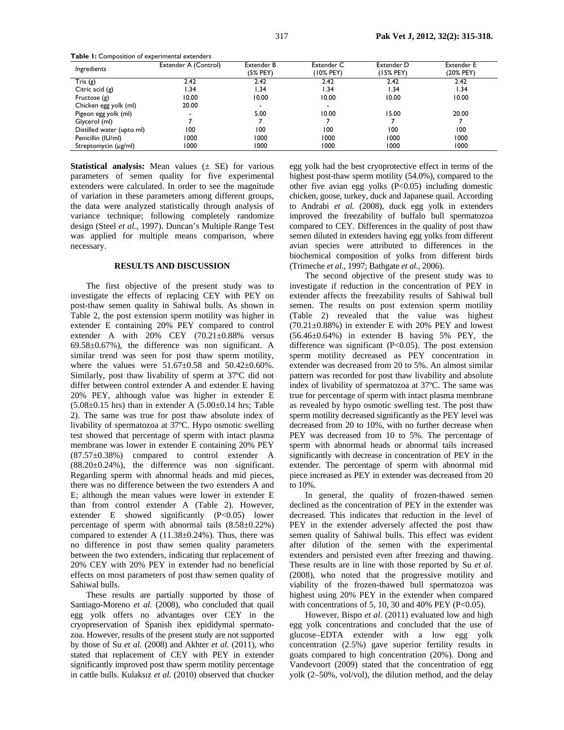| <b>Table 1:</b> Composition of experimental extenders |                      |                               |                         |                         |                                |  |  |
|-------------------------------------------------------|----------------------|-------------------------------|-------------------------|-------------------------|--------------------------------|--|--|
| Ingredients                                           | Extender A (Control) | <b>Extender B</b><br>(5% PEY) | Extender C<br>(10% PEY) | Extender D<br>(15% PEY) | <b>Extender E</b><br>(20% PEY) |  |  |
| Tris(g)                                               | 2.42                 | 2.42                          | 2.42                    | 2.42                    | 2.42                           |  |  |
| Citric acid $(g)$                                     | l.34                 | 1.34                          | I.34                    | 1.34                    | 1.34                           |  |  |
| Fructose $(g)$                                        | 10.00                | 10.00                         | 10.00                   | 10.00                   | 10.00                          |  |  |
| Chicken egg yolk (ml)                                 | 20.00                |                               |                         |                         |                                |  |  |
| Pigeon egg yolk (ml)                                  |                      | 5.00                          | 10.00                   | 15.00                   | 20.00                          |  |  |
| Glycerol (ml)                                         |                      |                               |                         |                         |                                |  |  |
| Distilled water (upto ml)                             | 100                  | 100                           | 100                     | 100                     | 100                            |  |  |
| Penicillin (IU/ml)                                    | 1000                 | 1000                          | 1000                    | 1000                    | 1000                           |  |  |
| Streptomycin (µg/ml)                                  | 1000                 | 1000                          | 1000                    | 1000                    | 1000                           |  |  |

**Statistical analysis:** Mean values ( $\pm$  SE) for various parameters of semen quality for five experimental extenders were calculated. In order to see the magnitude of variation in these parameters among different groups, the data were analyzed statistically through analysis of variance technique; following completely randomize design (Steel *et al.*, 1997). Duncan's Multiple Range Test was applied for multiple means comparison, where necessary.

#### **RESULTS AND DISCUSSION**

The first objective of the present study was to investigate the effects of replacing CEY with PEY on post-thaw semen quality in Sahiwal bulls. As shown in Table 2, the post extension sperm motility was higher in extender E containing 20% PEY compared to control extender A with 20% CEY (70.21±0.88% versus  $69.58\pm0.67\%$ , the difference was non significant. A similar trend was seen for post thaw sperm motility, where the values were  $51.67 \pm 0.58$  and  $50.42 \pm 0.60\%$ . Similarly, post thaw livability of sperm at 37ºC did not differ between control extender A and extender E having 20% PEY, although value was higher in extender E  $(5.08\pm0.15 \text{ hrs})$  than in extender A  $(5.00\pm0.14 \text{ hrs})$ ; Table 2). The same was true for post thaw absolute index of livability of spermatozoa at 37ºC. Hypo osmotic swelling test showed that percentage of sperm with intact plasma membrane was lower in extender E containing 20% PEY (87.57±0.38%) compared to control extender A (88.20±0.24%), the difference was non significant. Regarding sperm with abnormal heads and mid pieces, there was no difference between the two extenders A and E; although the mean values were lower in extender E than from control extender A (Table 2). However, extender E showed significantly  $(P<0.05)$  lower percentage of sperm with abnormal tails (8.58±0.22%) compared to extender A  $(11.38\pm0.24\%)$ . Thus, there was no difference in post thaw semen quality parameters between the two extenders, indicating that replacement of 20% CEY with 20% PEY in extender had no beneficial effects on most parameters of post thaw semen quality of Sahiwal bulls.

These results are partially supported by those of Santiago-Moreno *et al.* (2008), who concluded that quail egg yolk offers no advantages over CEY in the cryopreservation of Spanish ibex epididymal spermatozoa. However, results of the present study are not supported by those of Su *et al.* (2008) and Akhter *et al.* (2011), who stated that replacement of CEY with PEY in extender significantly improved post thaw sperm motility percentage in cattle bulls. Kulaksız *et al.* (2010) observed that chucker egg yolk had the best cryoprotective effect in terms of the highest post-thaw sperm motility (54.0%), compared to the other five avian egg yolks (P<0.05) including domestic chicken, goose, turkey, duck and Japanese quail. According to Andrabi *et al.* (2008), duck egg yolk in extenders improved the freezability of buffalo bull spermatozoa compared to CEY. Differences in the quality of post thaw semen diluted in extenders having egg yolks from different avian species were attributed to differences in the biochemical composition of yolks from different birds (Trimeche *et al.,* 1997; Bathgate *et al.*, 2006).

The second objective of the present study was to investigate if reduction in the concentration of PEY in extender affects the freezability results of Sahiwal bull semen. The results on post extension sperm motility (Table 2) revealed that the value was highest  $(70.21 \pm 0.88\%)$  in extender E with 20% PEY and lowest (56.46±0.64%) in extender B having 5% PEY, the difference was significant  $(P<0.05)$ . The post extension sperm motility decreased as PEY concentration in extender was decreased from 20 to 5%. An almost similar pattern was recorded for post thaw livability and absolute index of livability of spermatozoa at 37ºC. The same was true for percentage of sperm with intact plasma membrane as revealed by hypo osmotic swelling test. The post thaw sperm motility decreased significantly as the PEY level was decreased from 20 to 10%, with no further decrease when PEY was decreased from 10 to 5%. The percentage of sperm with abnormal heads or abnormal tails increased significantly with decrease in concentration of PEY in the extender. The percentage of sperm with abnormal mid piece increased as PEY in extender was decreased from 20 to 10%.

In general, the quality of frozen-thawed semen declined as the concentration of PEY in the extender was decreased. This indicates that reduction in the level of PEY in the extender adversely affected the post thaw semen quality of Sahiwal bulls. This effect was evident after dilution of the semen with the experimental extenders and persisted even after freezing and thawing. These results are in line with those reported by Su *et al.* (2008), who noted that the progressive motility and viability of the frozen-thawed bull spermatozoa was highest using 20% PEY in the extender when compared with concentrations of 5, 10, 30 and 40% PEY ( $P<0.05$ ).

However, Bispo *et al.* (2011) evaluated low and high egg yolk concentrations and concluded that the use of glucose–EDTA extender with a low egg yolk concentration (2.5%) gave superior fertility results in goats compared to high concentration (20%). Dong and Vandevoort (2009) stated that the concentration of egg yolk (2–50%, vol/vol), the dilution method, and the delay